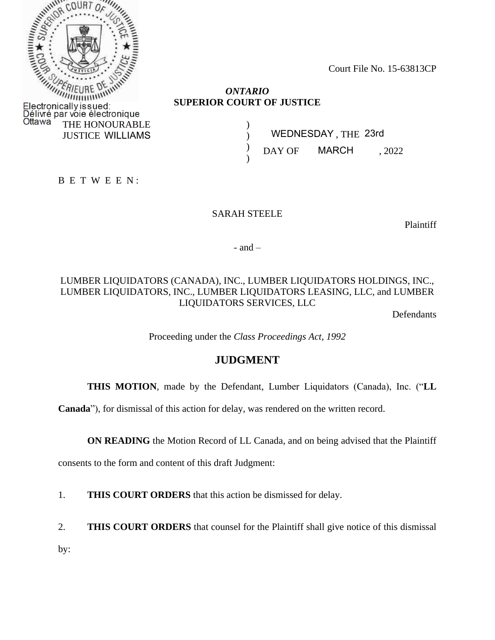

Court File No. 15-63813CP

### *ONTARIO* **SUPERIOR COURT OF JUSTICE**

) ) ) )

 , THE WILLIAMS WEDNESDAY 23rd DAY OF MARCH, 2022

B E T W E E N :

#### SARAH STEELE

Plaintiff

 $-$  and  $-$ 

# LUMBER LIQUIDATORS (CANADA), INC., LUMBER LIQUIDATORS HOLDINGS, INC., LUMBER LIQUIDATORS, INC., LUMBER LIQUIDATORS LEASING, LLC, and LUMBER LIQUIDATORS SERVICES, LLC

Defendants

Proceeding under the *Class Proceedings Act, 1992*

# **JUDGMENT**

**THIS MOTION**, made by the Defendant, Lumber Liquidators (Canada), Inc. ("**LL** 

**Canada**"), for dismissal of this action for delay, was rendered on the written record.

**ON READING** the Motion Record of LL Canada, and on being advised that the Plaintiff

consents to the form and content of this draft Judgment:

1. **THIS COURT ORDERS** that this action be dismissed for delay.

2. **THIS COURT ORDERS** that counsel for the Plaintiff shall give notice of this dismissal

by: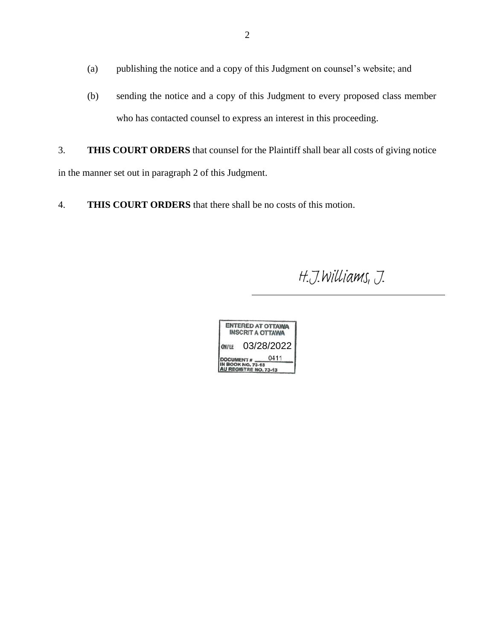- (a) publishing the notice and a copy of this Judgment on counsel's website; and
- (b) sending the notice and a copy of this Judgment to every proposed class member who has contacted counsel to express an interest in this proceeding.
- 3. **THIS COURT ORDERS** that counsel for the Plaintiff shall bear all costs of giving notice in the manner set out in paragraph 2 of this Judgment.
- 4. **THIS COURT ORDERS** that there shall be no costs of this motion.

H.J.Williams, J.